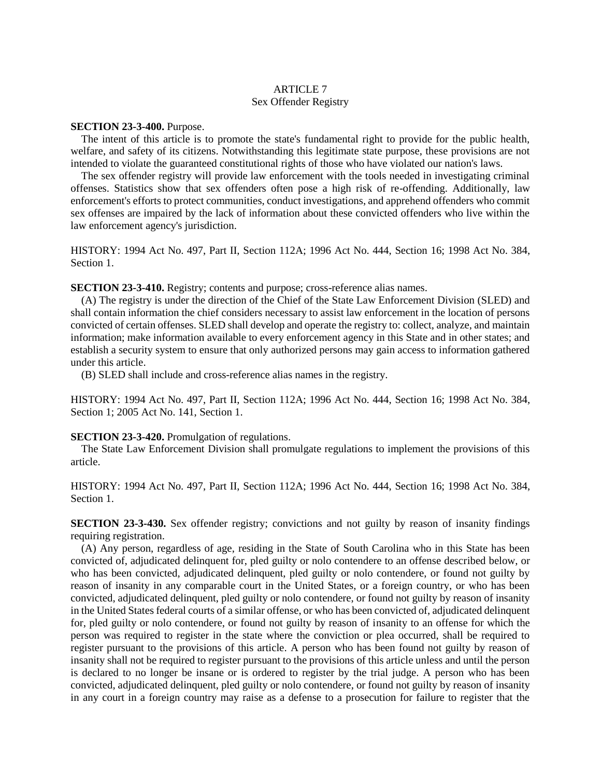## ARTICLE 7 Sex Offender Registry

## **SECTION 23-3-400.** Purpose.

The intent of this article is to promote the state's fundamental right to provide for the public health, welfare, and safety of its citizens. Notwithstanding this legitimate state purpose, these provisions are not intended to violate the guaranteed constitutional rights of those who have violated our nation's laws.

The sex offender registry will provide law enforcement with the tools needed in investigating criminal offenses. Statistics show that sex offenders often pose a high risk of re-offending. Additionally, law enforcement's efforts to protect communities, conduct investigations, and apprehend offenders who commit sex offenses are impaired by the lack of information about these convicted offenders who live within the law enforcement agency's jurisdiction.

HISTORY: 1994 Act No. 497, Part II, Section 112A; 1996 Act No. 444, Section 16; 1998 Act No. 384, Section 1.

**SECTION 23-3-410.** Registry; contents and purpose; cross-reference alias names.

(A) The registry is under the direction of the Chief of the State Law Enforcement Division (SLED) and shall contain information the chief considers necessary to assist law enforcement in the location of persons convicted of certain offenses. SLED shall develop and operate the registry to: collect, analyze, and maintain information; make information available to every enforcement agency in this State and in other states; and establish a security system to ensure that only authorized persons may gain access to information gathered under this article.

(B) SLED shall include and cross-reference alias names in the registry.

HISTORY: 1994 Act No. 497, Part II, Section 112A; 1996 Act No. 444, Section 16; 1998 Act No. 384, Section 1; 2005 Act No. 141, Section 1.

## **SECTION 23-3-420.** Promulgation of regulations.

The State Law Enforcement Division shall promulgate regulations to implement the provisions of this article.

HISTORY: 1994 Act No. 497, Part II, Section 112A; 1996 Act No. 444, Section 16; 1998 Act No. 384, Section 1.

**SECTION 23-3-430.** Sex offender registry; convictions and not guilty by reason of insanity findings requiring registration.

(A) Any person, regardless of age, residing in the State of South Carolina who in this State has been convicted of, adjudicated delinquent for, pled guilty or nolo contendere to an offense described below, or who has been convicted, adjudicated delinquent, pled guilty or nolo contendere, or found not guilty by reason of insanity in any comparable court in the United States, or a foreign country, or who has been convicted, adjudicated delinquent, pled guilty or nolo contendere, or found not guilty by reason of insanity in the United States federal courts of a similar offense, or who has been convicted of, adjudicated delinquent for, pled guilty or nolo contendere, or found not guilty by reason of insanity to an offense for which the person was required to register in the state where the conviction or plea occurred, shall be required to register pursuant to the provisions of this article. A person who has been found not guilty by reason of insanity shall not be required to register pursuant to the provisions of this article unless and until the person is declared to no longer be insane or is ordered to register by the trial judge. A person who has been convicted, adjudicated delinquent, pled guilty or nolo contendere, or found not guilty by reason of insanity in any court in a foreign country may raise as a defense to a prosecution for failure to register that the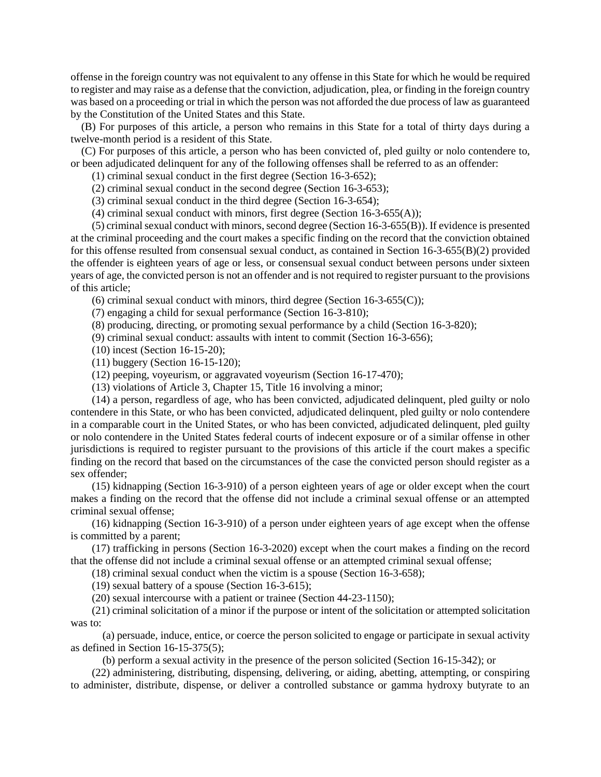offense in the foreign country was not equivalent to any offense in this State for which he would be required to register and may raise as a defense that the conviction, adjudication, plea, or finding in the foreign country was based on a proceeding or trial in which the person was not afforded the due process of law as guaranteed by the Constitution of the United States and this State.

(B) For purposes of this article, a person who remains in this State for a total of thirty days during a twelve-month period is a resident of this State.

(C) For purposes of this article, a person who has been convicted of, pled guilty or nolo contendere to, or been adjudicated delinquent for any of the following offenses shall be referred to as an offender:

(1) criminal sexual conduct in the first degree (Section 16-3-652);

(2) criminal sexual conduct in the second degree (Section 16-3-653);

(3) criminal sexual conduct in the third degree (Section 16-3-654);

(4) criminal sexual conduct with minors, first degree (Section 16-3-655(A));

(5) criminal sexual conduct with minors, second degree (Section 16-3-655(B)). If evidence is presented at the criminal proceeding and the court makes a specific finding on the record that the conviction obtained for this offense resulted from consensual sexual conduct, as contained in Section 16-3-655(B)(2) provided the offender is eighteen years of age or less, or consensual sexual conduct between persons under sixteen years of age, the convicted person is not an offender and is not required to register pursuant to the provisions of this article;

(6) criminal sexual conduct with minors, third degree (Section  $16-3-655(C)$ );

(7) engaging a child for sexual performance (Section 16-3-810);

(8) producing, directing, or promoting sexual performance by a child (Section 16-3-820);

(9) criminal sexual conduct: assaults with intent to commit (Section 16-3-656);

(10) incest (Section 16-15-20);

(11) buggery (Section 16-15-120);

(12) peeping, voyeurism, or aggravated voyeurism (Section 16-17-470);

(13) violations of Article 3, Chapter 15, Title 16 involving a minor;

(14) a person, regardless of age, who has been convicted, adjudicated delinquent, pled guilty or nolo contendere in this State, or who has been convicted, adjudicated delinquent, pled guilty or nolo contendere in a comparable court in the United States, or who has been convicted, adjudicated delinquent, pled guilty or nolo contendere in the United States federal courts of indecent exposure or of a similar offense in other jurisdictions is required to register pursuant to the provisions of this article if the court makes a specific finding on the record that based on the circumstances of the case the convicted person should register as a sex offender;

(15) kidnapping (Section 16-3-910) of a person eighteen years of age or older except when the court makes a finding on the record that the offense did not include a criminal sexual offense or an attempted criminal sexual offense;

(16) kidnapping (Section 16-3-910) of a person under eighteen years of age except when the offense is committed by a parent;

(17) trafficking in persons (Section 16-3-2020) except when the court makes a finding on the record that the offense did not include a criminal sexual offense or an attempted criminal sexual offense;

(18) criminal sexual conduct when the victim is a spouse (Section 16-3-658);

(19) sexual battery of a spouse (Section 16-3-615);

(20) sexual intercourse with a patient or trainee (Section 44-23-1150);

(21) criminal solicitation of a minor if the purpose or intent of the solicitation or attempted solicitation was to:

(a) persuade, induce, entice, or coerce the person solicited to engage or participate in sexual activity as defined in Section 16-15-375(5);

(b) perform a sexual activity in the presence of the person solicited (Section 16-15-342); or

(22) administering, distributing, dispensing, delivering, or aiding, abetting, attempting, or conspiring to administer, distribute, dispense, or deliver a controlled substance or gamma hydroxy butyrate to an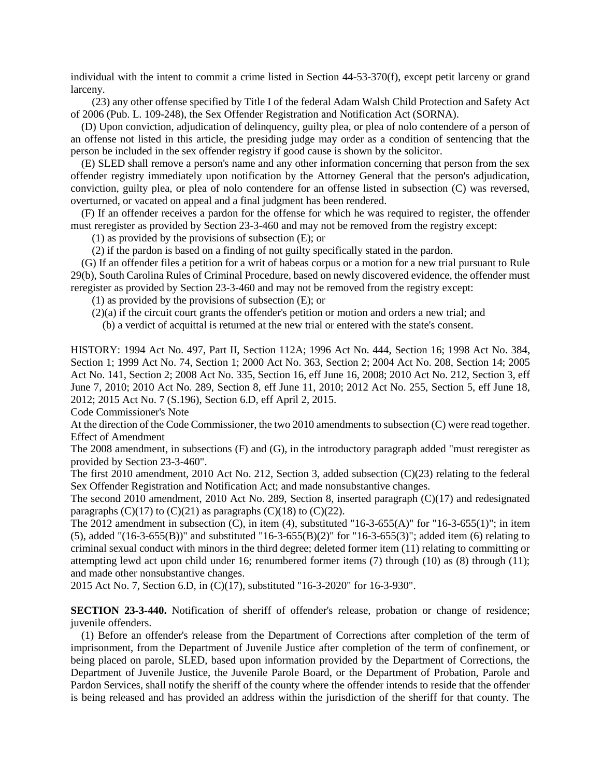individual with the intent to commit a crime listed in Section 44-53-370(f), except petit larceny or grand larceny.

(23) any other offense specified by Title I of the federal Adam Walsh Child Protection and Safety Act of 2006 (Pub. L. 109-248), the Sex Offender Registration and Notification Act (SORNA).

(D) Upon conviction, adjudication of delinquency, guilty plea, or plea of nolo contendere of a person of an offense not listed in this article, the presiding judge may order as a condition of sentencing that the person be included in the sex offender registry if good cause is shown by the solicitor.

(E) SLED shall remove a person's name and any other information concerning that person from the sex offender registry immediately upon notification by the Attorney General that the person's adjudication, conviction, guilty plea, or plea of nolo contendere for an offense listed in subsection (C) was reversed, overturned, or vacated on appeal and a final judgment has been rendered.

(F) If an offender receives a pardon for the offense for which he was required to register, the offender must reregister as provided by Section 23-3-460 and may not be removed from the registry except:

(1) as provided by the provisions of subsection (E); or

(2) if the pardon is based on a finding of not guilty specifically stated in the pardon.

(G) If an offender files a petition for a writ of habeas corpus or a motion for a new trial pursuant to Rule 29(b), South Carolina Rules of Criminal Procedure, based on newly discovered evidence, the offender must reregister as provided by Section 23-3-460 and may not be removed from the registry except:

(1) as provided by the provisions of subsection (E); or

(2)(a) if the circuit court grants the offender's petition or motion and orders a new trial; and

(b) a verdict of acquittal is returned at the new trial or entered with the state's consent.

HISTORY: 1994 Act No. 497, Part II, Section 112A; 1996 Act No. 444, Section 16; 1998 Act No. 384, Section 1; 1999 Act No. 74, Section 1; 2000 Act No. 363, Section 2; 2004 Act No. 208, Section 14; 2005 Act No. 141, Section 2; 2008 Act No. 335, Section 16, eff June 16, 2008; 2010 Act No. 212, Section 3, eff June 7, 2010; 2010 Act No. 289, Section 8, eff June 11, 2010; 2012 Act No. 255, Section 5, eff June 18, 2012; 2015 Act No. 7 (S.196), Section 6.D, eff April 2, 2015.

Code Commissioner's Note

At the direction of the Code Commissioner, the two 2010 amendments to subsection (C) were read together. Effect of Amendment

The 2008 amendment, in subsections (F) and (G), in the introductory paragraph added "must reregister as provided by Section 23-3-460".

The first 2010 amendment, 2010 Act No. 212, Section 3, added subsection (C)(23) relating to the federal Sex Offender Registration and Notification Act; and made nonsubstantive changes.

The second 2010 amendment, 2010 Act No. 289, Section 8, inserted paragraph (C)(17) and redesignated paragraphs  $(C)(17)$  to  $(C)(21)$  as paragraphs  $(C)(18)$  to  $(C)(22)$ .

The 2012 amendment in subsection  $(C)$ , in item  $(4)$ , substituted "16-3-655(A)" for "16-3-655(1)"; in item (5), added "(16-3-655(B))" and substituted "16-3-655(B)(2)" for "16-3-655(3)"; added item (6) relating to criminal sexual conduct with minors in the third degree; deleted former item (11) relating to committing or attempting lewd act upon child under 16; renumbered former items (7) through (10) as (8) through (11); and made other nonsubstantive changes.

2015 Act No. 7, Section 6.D, in (C)(17), substituted "16-3-2020" for 16-3-930".

**SECTION 23-3-440.** Notification of sheriff of offender's release, probation or change of residence; juvenile offenders.

(1) Before an offender's release from the Department of Corrections after completion of the term of imprisonment, from the Department of Juvenile Justice after completion of the term of confinement, or being placed on parole, SLED, based upon information provided by the Department of Corrections, the Department of Juvenile Justice, the Juvenile Parole Board, or the Department of Probation, Parole and Pardon Services, shall notify the sheriff of the county where the offender intends to reside that the offender is being released and has provided an address within the jurisdiction of the sheriff for that county. The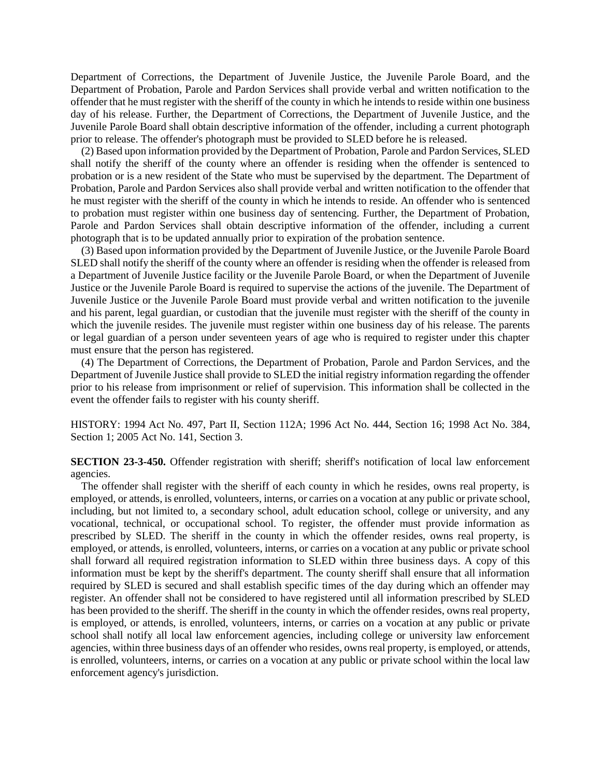Department of Corrections, the Department of Juvenile Justice, the Juvenile Parole Board, and the Department of Probation, Parole and Pardon Services shall provide verbal and written notification to the offender that he must register with the sheriff of the county in which he intends to reside within one business day of his release. Further, the Department of Corrections, the Department of Juvenile Justice, and the Juvenile Parole Board shall obtain descriptive information of the offender, including a current photograph prior to release. The offender's photograph must be provided to SLED before he is released.

(2) Based upon information provided by the Department of Probation, Parole and Pardon Services, SLED shall notify the sheriff of the county where an offender is residing when the offender is sentenced to probation or is a new resident of the State who must be supervised by the department. The Department of Probation, Parole and Pardon Services also shall provide verbal and written notification to the offender that he must register with the sheriff of the county in which he intends to reside. An offender who is sentenced to probation must register within one business day of sentencing. Further, the Department of Probation, Parole and Pardon Services shall obtain descriptive information of the offender, including a current photograph that is to be updated annually prior to expiration of the probation sentence.

(3) Based upon information provided by the Department of Juvenile Justice, or the Juvenile Parole Board SLED shall notify the sheriff of the county where an offender is residing when the offender is released from a Department of Juvenile Justice facility or the Juvenile Parole Board, or when the Department of Juvenile Justice or the Juvenile Parole Board is required to supervise the actions of the juvenile. The Department of Juvenile Justice or the Juvenile Parole Board must provide verbal and written notification to the juvenile and his parent, legal guardian, or custodian that the juvenile must register with the sheriff of the county in which the juvenile resides. The juvenile must register within one business day of his release. The parents or legal guardian of a person under seventeen years of age who is required to register under this chapter must ensure that the person has registered.

(4) The Department of Corrections, the Department of Probation, Parole and Pardon Services, and the Department of Juvenile Justice shall provide to SLED the initial registry information regarding the offender prior to his release from imprisonment or relief of supervision. This information shall be collected in the event the offender fails to register with his county sheriff.

HISTORY: 1994 Act No. 497, Part II, Section 112A; 1996 Act No. 444, Section 16; 1998 Act No. 384, Section 1; 2005 Act No. 141, Section 3.

**SECTION 23-3-450.** Offender registration with sheriff; sheriff's notification of local law enforcement agencies.

The offender shall register with the sheriff of each county in which he resides, owns real property, is employed, or attends, is enrolled, volunteers, interns, or carries on a vocation at any public or private school, including, but not limited to, a secondary school, adult education school, college or university, and any vocational, technical, or occupational school. To register, the offender must provide information as prescribed by SLED. The sheriff in the county in which the offender resides, owns real property, is employed, or attends, is enrolled, volunteers, interns, or carries on a vocation at any public or private school shall forward all required registration information to SLED within three business days. A copy of this information must be kept by the sheriff's department. The county sheriff shall ensure that all information required by SLED is secured and shall establish specific times of the day during which an offender may register. An offender shall not be considered to have registered until all information prescribed by SLED has been provided to the sheriff. The sheriff in the county in which the offender resides, owns real property, is employed, or attends, is enrolled, volunteers, interns, or carries on a vocation at any public or private school shall notify all local law enforcement agencies, including college or university law enforcement agencies, within three business days of an offender who resides, owns real property, is employed, or attends, is enrolled, volunteers, interns, or carries on a vocation at any public or private school within the local law enforcement agency's jurisdiction.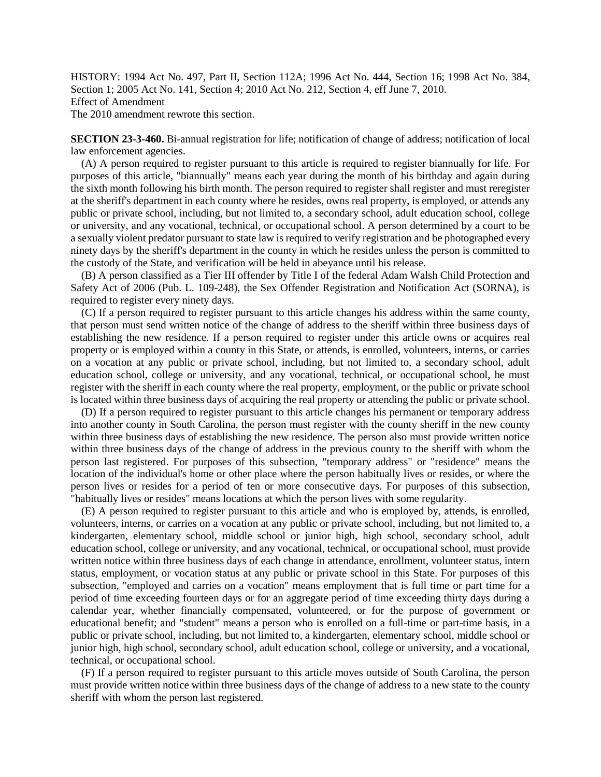HISTORY: 1994 Act No. 497, Part II, Section 112A; 1996 Act No. 444, Section 16; 1998 Act No. 384, Section 1; 2005 Act No. 141, Section 4; 2010 Act No. 212, Section 4, eff June 7, 2010. Effect of Amendment The 2010 amendment rewrote this section.

**SECTION 23-3-460.** Bi-annual registration for life; notification of change of address; notification of local law enforcement agencies.

(A) A person required to register pursuant to this article is required to register biannually for life. For purposes of this article, "biannually" means each year during the month of his birthday and again during the sixth month following his birth month. The person required to register shall register and must reregister at the sheriff's department in each county where he resides, owns real property, is employed, or attends any public or private school, including, but not limited to, a secondary school, adult education school, college or university, and any vocational, technical, or occupational school. A person determined by a court to be a sexually violent predator pursuant to state law is required to verify registration and be photographed every ninety days by the sheriff's department in the county in which he resides unless the person is committed to the custody of the State, and verification will be held in abeyance until his release.

(B) A person classified as a Tier III offender by Title I of the federal Adam Walsh Child Protection and Safety Act of 2006 (Pub. L. 109-248), the Sex Offender Registration and Notification Act (SORNA), is required to register every ninety days.

(C) If a person required to register pursuant to this article changes his address within the same county, that person must send written notice of the change of address to the sheriff within three business days of establishing the new residence. If a person required to register under this article owns or acquires real property or is employed within a county in this State, or attends, is enrolled, volunteers, interns, or carries on a vocation at any public or private school, including, but not limited to, a secondary school, adult education school, college or university, and any vocational, technical, or occupational school, he must register with the sheriff in each county where the real property, employment, or the public or private school is located within three business days of acquiring the real property or attending the public or private school.

(D) If a person required to register pursuant to this article changes his permanent or temporary address into another county in South Carolina, the person must register with the county sheriff in the new county within three business days of establishing the new residence. The person also must provide written notice within three business days of the change of address in the previous county to the sheriff with whom the person last registered. For purposes of this subsection, "temporary address" or "residence" means the location of the individual's home or other place where the person habitually lives or resides, or where the person lives or resides for a period of ten or more consecutive days. For purposes of this subsection, "habitually lives or resides" means locations at which the person lives with some regularity.

(E) A person required to register pursuant to this article and who is employed by, attends, is enrolled, volunteers, interns, or carries on a vocation at any public or private school, including, but not limited to, a kindergarten, elementary school, middle school or junior high, high school, secondary school, adult education school, college or university, and any vocational, technical, or occupational school, must provide written notice within three business days of each change in attendance, enrollment, volunteer status, intern status, employment, or vocation status at any public or private school in this State. For purposes of this subsection, "employed and carries on a vocation" means employment that is full time or part time for a period of time exceeding fourteen days or for an aggregate period of time exceeding thirty days during a calendar year, whether financially compensated, volunteered, or for the purpose of government or educational benefit; and "student" means a person who is enrolled on a full-time or part-time basis, in a public or private school, including, but not limited to, a kindergarten, elementary school, middle school or junior high, high school, secondary school, adult education school, college or university, and a vocational, technical, or occupational school.

(F) If a person required to register pursuant to this article moves outside of South Carolina, the person must provide written notice within three business days of the change of address to a new state to the county sheriff with whom the person last registered.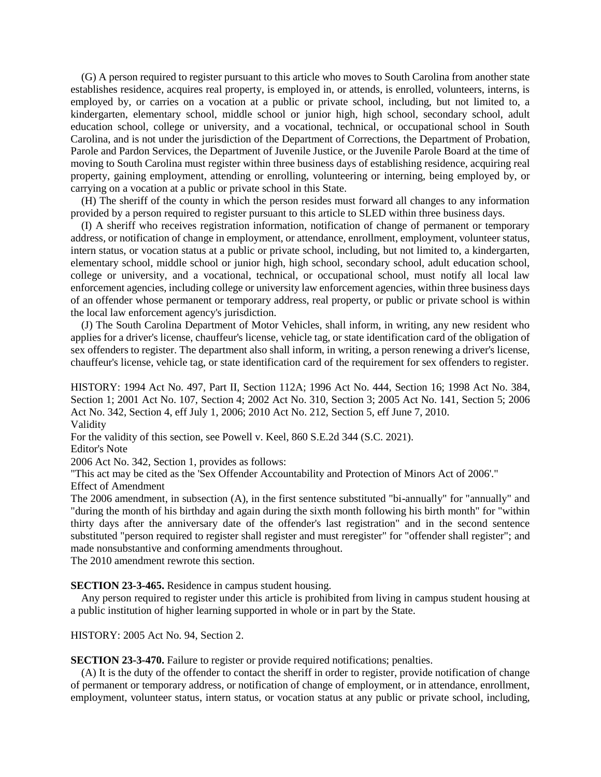(G) A person required to register pursuant to this article who moves to South Carolina from another state establishes residence, acquires real property, is employed in, or attends, is enrolled, volunteers, interns, is employed by, or carries on a vocation at a public or private school, including, but not limited to, a kindergarten, elementary school, middle school or junior high, high school, secondary school, adult education school, college or university, and a vocational, technical, or occupational school in South Carolina, and is not under the jurisdiction of the Department of Corrections, the Department of Probation, Parole and Pardon Services, the Department of Juvenile Justice, or the Juvenile Parole Board at the time of moving to South Carolina must register within three business days of establishing residence, acquiring real property, gaining employment, attending or enrolling, volunteering or interning, being employed by, or carrying on a vocation at a public or private school in this State.

(H) The sheriff of the county in which the person resides must forward all changes to any information provided by a person required to register pursuant to this article to SLED within three business days.

(I) A sheriff who receives registration information, notification of change of permanent or temporary address, or notification of change in employment, or attendance, enrollment, employment, volunteer status, intern status, or vocation status at a public or private school, including, but not limited to, a kindergarten, elementary school, middle school or junior high, high school, secondary school, adult education school, college or university, and a vocational, technical, or occupational school, must notify all local law enforcement agencies, including college or university law enforcement agencies, within three business days of an offender whose permanent or temporary address, real property, or public or private school is within the local law enforcement agency's jurisdiction.

(J) The South Carolina Department of Motor Vehicles, shall inform, in writing, any new resident who applies for a driver's license, chauffeur's license, vehicle tag, or state identification card of the obligation of sex offenders to register. The department also shall inform, in writing, a person renewing a driver's license, chauffeur's license, vehicle tag, or state identification card of the requirement for sex offenders to register.

HISTORY: 1994 Act No. 497, Part II, Section 112A; 1996 Act No. 444, Section 16; 1998 Act No. 384, Section 1; 2001 Act No. 107, Section 4; 2002 Act No. 310, Section 3; 2005 Act No. 141, Section 5; 2006 Act No. 342, Section 4, eff July 1, 2006; 2010 Act No. 212, Section 5, eff June 7, 2010. Validity

For the validity of this section, see Powell v. Keel, 860 S.E.2d 344 (S.C. 2021).

Editor's Note

2006 Act No. 342, Section 1, provides as follows:

"This act may be cited as the 'Sex Offender Accountability and Protection of Minors Act of 2006'."

Effect of Amendment

The 2006 amendment, in subsection (A), in the first sentence substituted "bi-annually" for "annually" and "during the month of his birthday and again during the sixth month following his birth month" for "within thirty days after the anniversary date of the offender's last registration" and in the second sentence substituted "person required to register shall register and must reregister" for "offender shall register"; and made nonsubstantive and conforming amendments throughout.

The 2010 amendment rewrote this section.

**SECTION 23-3-465.** Residence in campus student housing.

Any person required to register under this article is prohibited from living in campus student housing at a public institution of higher learning supported in whole or in part by the State.

HISTORY: 2005 Act No. 94, Section 2.

**SECTION 23-3-470.** Failure to register or provide required notifications; penalties.

(A) It is the duty of the offender to contact the sheriff in order to register, provide notification of change of permanent or temporary address, or notification of change of employment, or in attendance, enrollment, employment, volunteer status, intern status, or vocation status at any public or private school, including,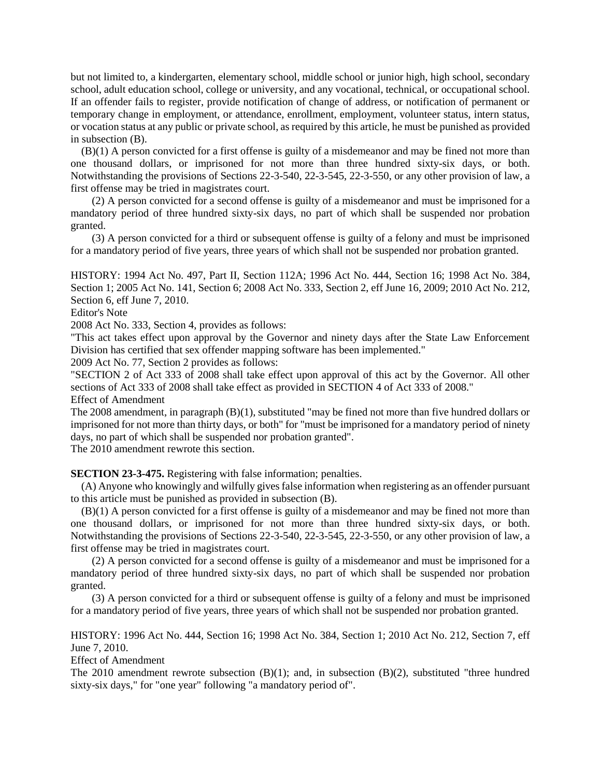but not limited to, a kindergarten, elementary school, middle school or junior high, high school, secondary school, adult education school, college or university, and any vocational, technical, or occupational school. If an offender fails to register, provide notification of change of address, or notification of permanent or temporary change in employment, or attendance, enrollment, employment, volunteer status, intern status, or vocation status at any public or private school, as required by this article, he must be punished as provided in subsection (B).

(B)(1) A person convicted for a first offense is guilty of a misdemeanor and may be fined not more than one thousand dollars, or imprisoned for not more than three hundred sixty-six days, or both. Notwithstanding the provisions of Sections 22-3-540, 22-3-545, 22-3-550, or any other provision of law, a first offense may be tried in magistrates court.

(2) A person convicted for a second offense is guilty of a misdemeanor and must be imprisoned for a mandatory period of three hundred sixty-six days, no part of which shall be suspended nor probation granted.

(3) A person convicted for a third or subsequent offense is guilty of a felony and must be imprisoned for a mandatory period of five years, three years of which shall not be suspended nor probation granted.

HISTORY: 1994 Act No. 497, Part II, Section 112A; 1996 Act No. 444, Section 16; 1998 Act No. 384, Section 1; 2005 Act No. 141, Section 6; 2008 Act No. 333, Section 2, eff June 16, 2009; 2010 Act No. 212, Section 6, eff June 7, 2010.

Editor's Note

2008 Act No. 333, Section 4, provides as follows:

"This act takes effect upon approval by the Governor and ninety days after the State Law Enforcement Division has certified that sex offender mapping software has been implemented."

2009 Act No. 77, Section 2 provides as follows:

"SECTION 2 of Act 333 of 2008 shall take effect upon approval of this act by the Governor. All other sections of Act 333 of 2008 shall take effect as provided in SECTION 4 of Act 333 of 2008." Effect of Amendment

The 2008 amendment, in paragraph (B)(1), substituted "may be fined not more than five hundred dollars or imprisoned for not more than thirty days, or both" for "must be imprisoned for a mandatory period of ninety days, no part of which shall be suspended nor probation granted".

The 2010 amendment rewrote this section.

**SECTION 23-3-475.** Registering with false information; penalties.

(A) Anyone who knowingly and wilfully gives false information when registering as an offender pursuant to this article must be punished as provided in subsection (B).

(B)(1) A person convicted for a first offense is guilty of a misdemeanor and may be fined not more than one thousand dollars, or imprisoned for not more than three hundred sixty-six days, or both. Notwithstanding the provisions of Sections 22-3-540, 22-3-545, 22-3-550, or any other provision of law, a first offense may be tried in magistrates court.

(2) A person convicted for a second offense is guilty of a misdemeanor and must be imprisoned for a mandatory period of three hundred sixty-six days, no part of which shall be suspended nor probation granted.

(3) A person convicted for a third or subsequent offense is guilty of a felony and must be imprisoned for a mandatory period of five years, three years of which shall not be suspended nor probation granted.

HISTORY: 1996 Act No. 444, Section 16; 1998 Act No. 384, Section 1; 2010 Act No. 212, Section 7, eff June 7, 2010.

Effect of Amendment

The 2010 amendment rewrote subsection  $(B)(1)$ ; and, in subsection  $(B)(2)$ , substituted "three hundred" sixty-six days," for "one year" following "a mandatory period of".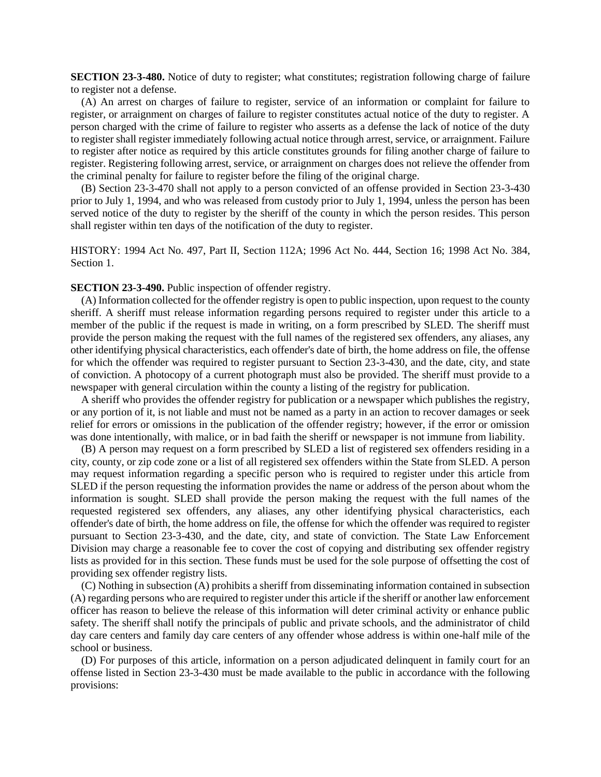**SECTION 23-3-480.** Notice of duty to register; what constitutes; registration following charge of failure to register not a defense.

(A) An arrest on charges of failure to register, service of an information or complaint for failure to register, or arraignment on charges of failure to register constitutes actual notice of the duty to register. A person charged with the crime of failure to register who asserts as a defense the lack of notice of the duty to register shall register immediately following actual notice through arrest, service, or arraignment. Failure to register after notice as required by this article constitutes grounds for filing another charge of failure to register. Registering following arrest, service, or arraignment on charges does not relieve the offender from the criminal penalty for failure to register before the filing of the original charge.

(B) Section 23-3-470 shall not apply to a person convicted of an offense provided in Section 23-3-430 prior to July 1, 1994, and who was released from custody prior to July 1, 1994, unless the person has been served notice of the duty to register by the sheriff of the county in which the person resides. This person shall register within ten days of the notification of the duty to register.

HISTORY: 1994 Act No. 497, Part II, Section 112A; 1996 Act No. 444, Section 16; 1998 Act No. 384, Section 1.

## **SECTION 23-3-490.** Public inspection of offender registry.

(A) Information collected for the offender registry is open to public inspection, upon request to the county sheriff. A sheriff must release information regarding persons required to register under this article to a member of the public if the request is made in writing, on a form prescribed by SLED. The sheriff must provide the person making the request with the full names of the registered sex offenders, any aliases, any other identifying physical characteristics, each offender's date of birth, the home address on file, the offense for which the offender was required to register pursuant to Section 23-3-430, and the date, city, and state of conviction. A photocopy of a current photograph must also be provided. The sheriff must provide to a newspaper with general circulation within the county a listing of the registry for publication.

A sheriff who provides the offender registry for publication or a newspaper which publishes the registry, or any portion of it, is not liable and must not be named as a party in an action to recover damages or seek relief for errors or omissions in the publication of the offender registry; however, if the error or omission was done intentionally, with malice, or in bad faith the sheriff or newspaper is not immune from liability.

(B) A person may request on a form prescribed by SLED a list of registered sex offenders residing in a city, county, or zip code zone or a list of all registered sex offenders within the State from SLED. A person may request information regarding a specific person who is required to register under this article from SLED if the person requesting the information provides the name or address of the person about whom the information is sought. SLED shall provide the person making the request with the full names of the requested registered sex offenders, any aliases, any other identifying physical characteristics, each offender's date of birth, the home address on file, the offense for which the offender was required to register pursuant to Section 23-3-430, and the date, city, and state of conviction. The State Law Enforcement Division may charge a reasonable fee to cover the cost of copying and distributing sex offender registry lists as provided for in this section. These funds must be used for the sole purpose of offsetting the cost of providing sex offender registry lists.

(C) Nothing in subsection (A) prohibits a sheriff from disseminating information contained in subsection (A) regarding persons who are required to register under this article if the sheriff or another law enforcement officer has reason to believe the release of this information will deter criminal activity or enhance public safety. The sheriff shall notify the principals of public and private schools, and the administrator of child day care centers and family day care centers of any offender whose address is within one-half mile of the school or business.

(D) For purposes of this article, information on a person adjudicated delinquent in family court for an offense listed in Section 23-3-430 must be made available to the public in accordance with the following provisions: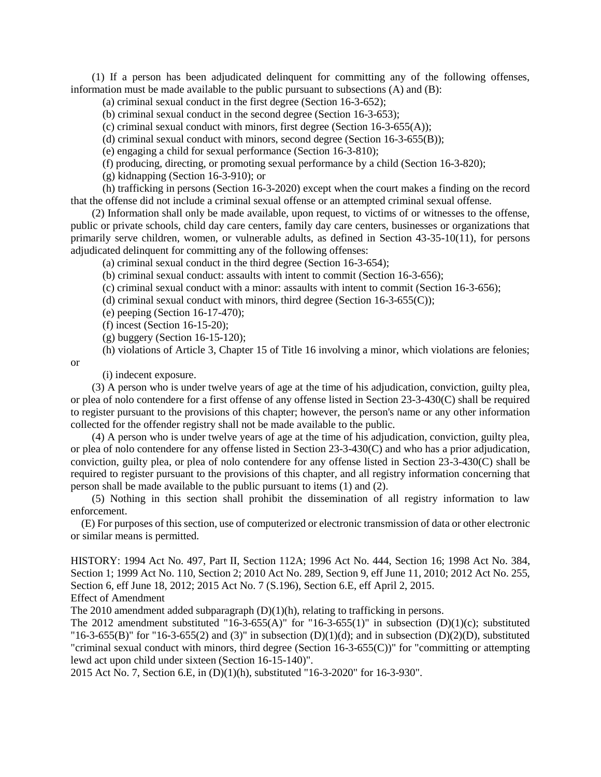(1) If a person has been adjudicated delinquent for committing any of the following offenses, information must be made available to the public pursuant to subsections (A) and (B):

(a) criminal sexual conduct in the first degree (Section 16-3-652);

(b) criminal sexual conduct in the second degree (Section 16-3-653);

(c) criminal sexual conduct with minors, first degree (Section 16-3-655(A));

(d) criminal sexual conduct with minors, second degree (Section 16-3-655(B));

(e) engaging a child for sexual performance (Section 16-3-810);

(f) producing, directing, or promoting sexual performance by a child (Section 16-3-820);

(g) kidnapping (Section 16-3-910); or

(h) trafficking in persons (Section 16-3-2020) except when the court makes a finding on the record that the offense did not include a criminal sexual offense or an attempted criminal sexual offense.

(2) Information shall only be made available, upon request, to victims of or witnesses to the offense, public or private schools, child day care centers, family day care centers, businesses or organizations that primarily serve children, women, or vulnerable adults, as defined in Section 43-35-10(11), for persons adjudicated delinquent for committing any of the following offenses:

(a) criminal sexual conduct in the third degree (Section 16-3-654);

(b) criminal sexual conduct: assaults with intent to commit (Section 16-3-656);

(c) criminal sexual conduct with a minor: assaults with intent to commit (Section 16-3-656);

(d) criminal sexual conduct with minors, third degree (Section  $16-3-655(C)$ );

(e) peeping (Section 16-17-470);

(f) incest (Section 16-15-20);

(g) buggery (Section 16-15-120);

(h) violations of Article 3, Chapter 15 of Title 16 involving a minor, which violations are felonies;

or

(i) indecent exposure.

(3) A person who is under twelve years of age at the time of his adjudication, conviction, guilty plea, or plea of nolo contendere for a first offense of any offense listed in Section 23-3-430(C) shall be required to register pursuant to the provisions of this chapter; however, the person's name or any other information collected for the offender registry shall not be made available to the public.

(4) A person who is under twelve years of age at the time of his adjudication, conviction, guilty plea, or plea of nolo contendere for any offense listed in Section 23-3-430(C) and who has a prior adjudication, conviction, guilty plea, or plea of nolo contendere for any offense listed in Section 23-3-430(C) shall be required to register pursuant to the provisions of this chapter, and all registry information concerning that person shall be made available to the public pursuant to items (1) and (2).

(5) Nothing in this section shall prohibit the dissemination of all registry information to law enforcement.

(E) For purposes of this section, use of computerized or electronic transmission of data or other electronic or similar means is permitted.

HISTORY: 1994 Act No. 497, Part II, Section 112A; 1996 Act No. 444, Section 16; 1998 Act No. 384, Section 1; 1999 Act No. 110, Section 2; 2010 Act No. 289, Section 9, eff June 11, 2010; 2012 Act No. 255, Section 6, eff June 18, 2012; 2015 Act No. 7 (S.196), Section 6.E, eff April 2, 2015.

Effect of Amendment

The 2010 amendment added subparagraph  $(D)(1)(h)$ , relating to trafficking in persons.

The 2012 amendment substituted "16-3-655(A)" for "16-3-655(1)" in subsection  $(D)(1)(c)$ ; substituted "16-3-655(B)" for "16-3-655(2) and (3)" in subsection  $(D)(1)(d)$ ; and in subsection  $(D)(2)(D)$ , substituted "criminal sexual conduct with minors, third degree (Section 16-3-655(C))" for "committing or attempting lewd act upon child under sixteen (Section 16-15-140)".

2015 Act No. 7, Section 6.E, in (D)(1)(h), substituted "16-3-2020" for 16-3-930".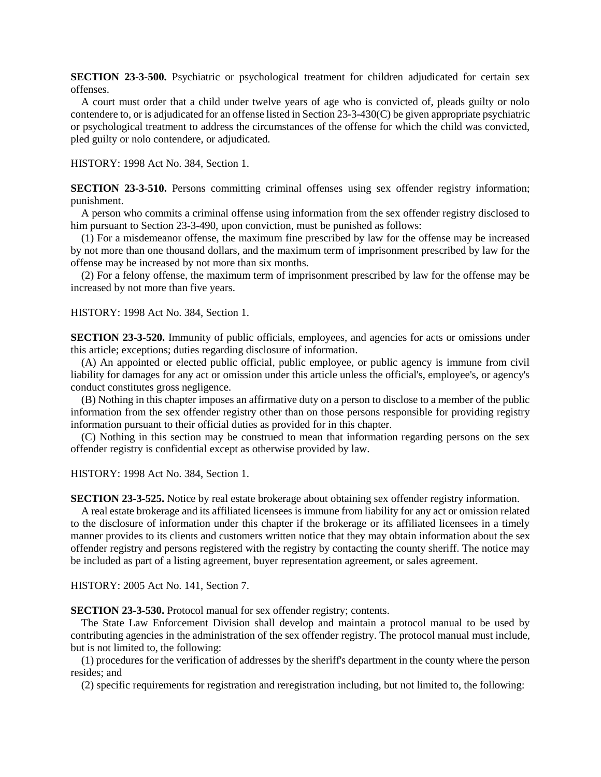**SECTION 23-3-500.** Psychiatric or psychological treatment for children adjudicated for certain sex offenses.

A court must order that a child under twelve years of age who is convicted of, pleads guilty or nolo contendere to, or is adjudicated for an offense listed in Section 23-3-430(C) be given appropriate psychiatric or psychological treatment to address the circumstances of the offense for which the child was convicted, pled guilty or nolo contendere, or adjudicated.

HISTORY: 1998 Act No. 384, Section 1.

**SECTION 23-3-510.** Persons committing criminal offenses using sex offender registry information; punishment.

A person who commits a criminal offense using information from the sex offender registry disclosed to him pursuant to Section 23-3-490, upon conviction, must be punished as follows:

(1) For a misdemeanor offense, the maximum fine prescribed by law for the offense may be increased by not more than one thousand dollars, and the maximum term of imprisonment prescribed by law for the offense may be increased by not more than six months.

(2) For a felony offense, the maximum term of imprisonment prescribed by law for the offense may be increased by not more than five years.

HISTORY: 1998 Act No. 384, Section 1.

**SECTION 23-3-520.** Immunity of public officials, employees, and agencies for acts or omissions under this article; exceptions; duties regarding disclosure of information.

(A) An appointed or elected public official, public employee, or public agency is immune from civil liability for damages for any act or omission under this article unless the official's, employee's, or agency's conduct constitutes gross negligence.

(B) Nothing in this chapter imposes an affirmative duty on a person to disclose to a member of the public information from the sex offender registry other than on those persons responsible for providing registry information pursuant to their official duties as provided for in this chapter.

(C) Nothing in this section may be construed to mean that information regarding persons on the sex offender registry is confidential except as otherwise provided by law.

HISTORY: 1998 Act No. 384, Section 1.

**SECTION 23-3-525.** Notice by real estate brokerage about obtaining sex offender registry information.

A real estate brokerage and its affiliated licensees is immune from liability for any act or omission related to the disclosure of information under this chapter if the brokerage or its affiliated licensees in a timely manner provides to its clients and customers written notice that they may obtain information about the sex offender registry and persons registered with the registry by contacting the county sheriff. The notice may be included as part of a listing agreement, buyer representation agreement, or sales agreement.

HISTORY: 2005 Act No. 141, Section 7.

**SECTION 23-3-530.** Protocol manual for sex offender registry; contents.

The State Law Enforcement Division shall develop and maintain a protocol manual to be used by contributing agencies in the administration of the sex offender registry. The protocol manual must include, but is not limited to, the following:

(1) procedures for the verification of addresses by the sheriff's department in the county where the person resides; and

(2) specific requirements for registration and reregistration including, but not limited to, the following: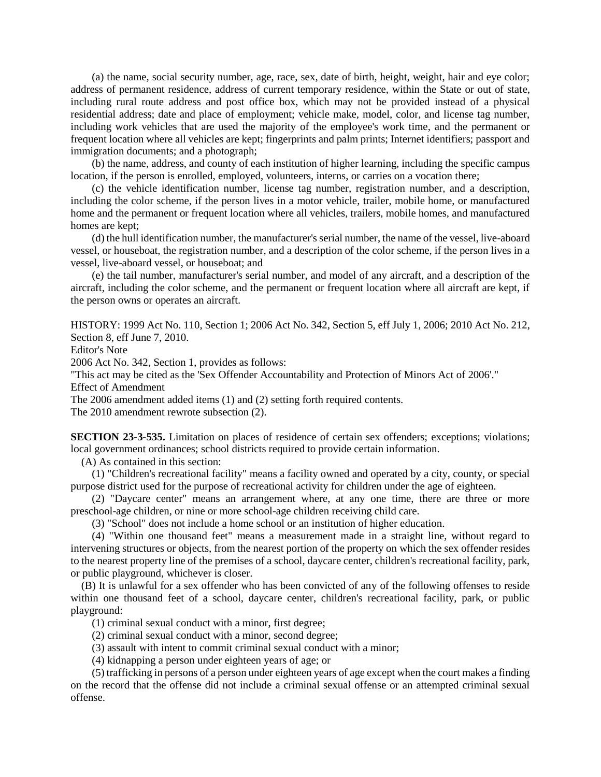(a) the name, social security number, age, race, sex, date of birth, height, weight, hair and eye color; address of permanent residence, address of current temporary residence, within the State or out of state, including rural route address and post office box, which may not be provided instead of a physical residential address; date and place of employment; vehicle make, model, color, and license tag number, including work vehicles that are used the majority of the employee's work time, and the permanent or frequent location where all vehicles are kept; fingerprints and palm prints; Internet identifiers; passport and immigration documents; and a photograph;

(b) the name, address, and county of each institution of higher learning, including the specific campus location, if the person is enrolled, employed, volunteers, interns, or carries on a vocation there;

(c) the vehicle identification number, license tag number, registration number, and a description, including the color scheme, if the person lives in a motor vehicle, trailer, mobile home, or manufactured home and the permanent or frequent location where all vehicles, trailers, mobile homes, and manufactured homes are kept;

(d) the hull identification number, the manufacturer's serial number, the name of the vessel, live-aboard vessel, or houseboat, the registration number, and a description of the color scheme, if the person lives in a vessel, live-aboard vessel, or houseboat; and

(e) the tail number, manufacturer's serial number, and model of any aircraft, and a description of the aircraft, including the color scheme, and the permanent or frequent location where all aircraft are kept, if the person owns or operates an aircraft.

HISTORY: 1999 Act No. 110, Section 1; 2006 Act No. 342, Section 5, eff July 1, 2006; 2010 Act No. 212, Section 8, eff June 7, 2010. Editor's Note

2006 Act No. 342, Section 1, provides as follows:

"This act may be cited as the 'Sex Offender Accountability and Protection of Minors Act of 2006'." Effect of Amendment

The 2006 amendment added items (1) and (2) setting forth required contents.

The 2010 amendment rewrote subsection (2).

**SECTION 23-3-535.** Limitation on places of residence of certain sex offenders; exceptions; violations; local government ordinances; school districts required to provide certain information.

(A) As contained in this section:

(1) "Children's recreational facility" means a facility owned and operated by a city, county, or special purpose district used for the purpose of recreational activity for children under the age of eighteen.

(2) "Daycare center" means an arrangement where, at any one time, there are three or more preschool-age children, or nine or more school-age children receiving child care.

(3) "School" does not include a home school or an institution of higher education.

(4) "Within one thousand feet" means a measurement made in a straight line, without regard to intervening structures or objects, from the nearest portion of the property on which the sex offender resides to the nearest property line of the premises of a school, daycare center, children's recreational facility, park, or public playground, whichever is closer.

(B) It is unlawful for a sex offender who has been convicted of any of the following offenses to reside within one thousand feet of a school, daycare center, children's recreational facility, park, or public playground:

(1) criminal sexual conduct with a minor, first degree;

(2) criminal sexual conduct with a minor, second degree;

(3) assault with intent to commit criminal sexual conduct with a minor;

(4) kidnapping a person under eighteen years of age; or

(5) trafficking in persons of a person under eighteen years of age except when the court makes a finding on the record that the offense did not include a criminal sexual offense or an attempted criminal sexual offense.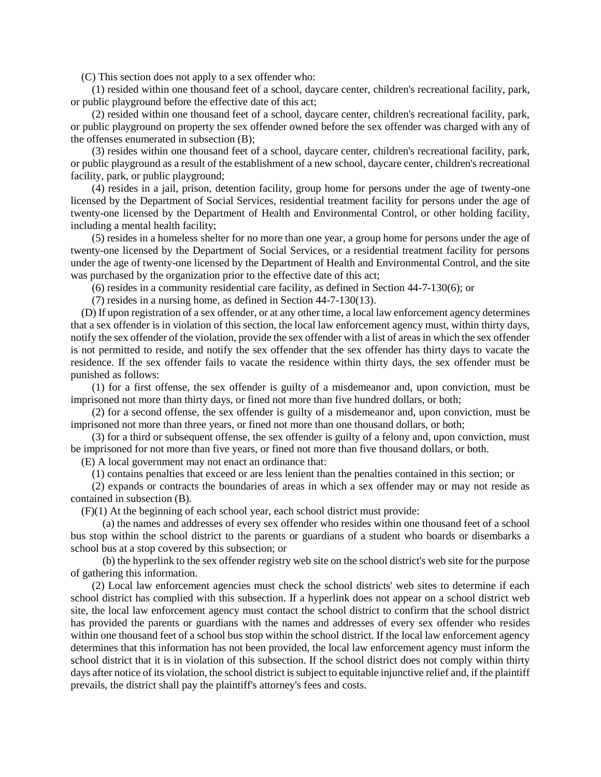(C) This section does not apply to a sex offender who:

(1) resided within one thousand feet of a school, daycare center, children's recreational facility, park, or public playground before the effective date of this act;

(2) resided within one thousand feet of a school, daycare center, children's recreational facility, park, or public playground on property the sex offender owned before the sex offender was charged with any of the offenses enumerated in subsection (B);

(3) resides within one thousand feet of a school, daycare center, children's recreational facility, park, or public playground as a result of the establishment of a new school, daycare center, children's recreational facility, park, or public playground;

(4) resides in a jail, prison, detention facility, group home for persons under the age of twenty-one licensed by the Department of Social Services, residential treatment facility for persons under the age of twenty-one licensed by the Department of Health and Environmental Control, or other holding facility, including a mental health facility;

(5) resides in a homeless shelter for no more than one year, a group home for persons under the age of twenty-one licensed by the Department of Social Services, or a residential treatment facility for persons under the age of twenty-one licensed by the Department of Health and Environmental Control, and the site was purchased by the organization prior to the effective date of this act;

(6) resides in a community residential care facility, as defined in Section 44-7-130(6); or

(7) resides in a nursing home, as defined in Section 44-7-130(13).

(D) If upon registration of a sex offender, or at any other time, a local law enforcement agency determines that a sex offender is in violation of this section, the local law enforcement agency must, within thirty days, notify the sex offender of the violation, provide the sex offender with a list of areas in which the sex offender is not permitted to reside, and notify the sex offender that the sex offender has thirty days to vacate the residence. If the sex offender fails to vacate the residence within thirty days, the sex offender must be punished as follows:

(1) for a first offense, the sex offender is guilty of a misdemeanor and, upon conviction, must be imprisoned not more than thirty days, or fined not more than five hundred dollars, or both;

(2) for a second offense, the sex offender is guilty of a misdemeanor and, upon conviction, must be imprisoned not more than three years, or fined not more than one thousand dollars, or both;

(3) for a third or subsequent offense, the sex offender is guilty of a felony and, upon conviction, must be imprisoned for not more than five years, or fined not more than five thousand dollars, or both.

(E) A local government may not enact an ordinance that:

(1) contains penalties that exceed or are less lenient than the penalties contained in this section; or

(2) expands or contracts the boundaries of areas in which a sex offender may or may not reside as contained in subsection (B).

(F)(1) At the beginning of each school year, each school district must provide:

(a) the names and addresses of every sex offender who resides within one thousand feet of a school bus stop within the school district to the parents or guardians of a student who boards or disembarks a school bus at a stop covered by this subsection; or

(b) the hyperlink to the sex offender registry web site on the school district's web site for the purpose of gathering this information.

(2) Local law enforcement agencies must check the school districts' web sites to determine if each school district has complied with this subsection. If a hyperlink does not appear on a school district web site, the local law enforcement agency must contact the school district to confirm that the school district has provided the parents or guardians with the names and addresses of every sex offender who resides within one thousand feet of a school bus stop within the school district. If the local law enforcement agency determines that this information has not been provided, the local law enforcement agency must inform the school district that it is in violation of this subsection. If the school district does not comply within thirty days after notice of its violation, the school district is subject to equitable injunctive relief and, if the plaintiff prevails, the district shall pay the plaintiff's attorney's fees and costs.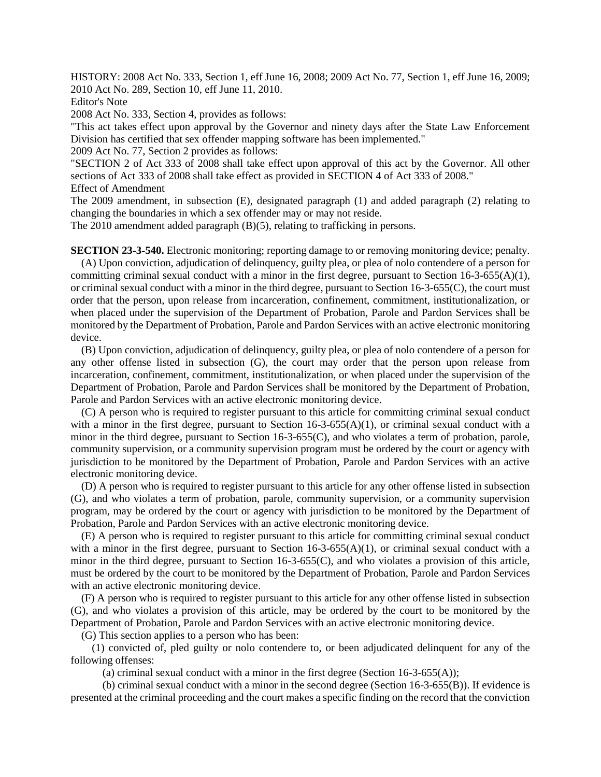HISTORY: 2008 Act No. 333, Section 1, eff June 16, 2008; 2009 Act No. 77, Section 1, eff June 16, 2009; 2010 Act No. 289, Section 10, eff June 11, 2010.

Editor's Note

2008 Act No. 333, Section 4, provides as follows:

"This act takes effect upon approval by the Governor and ninety days after the State Law Enforcement Division has certified that sex offender mapping software has been implemented."

2009 Act No. 77, Section 2 provides as follows:

"SECTION 2 of Act 333 of 2008 shall take effect upon approval of this act by the Governor. All other sections of Act 333 of 2008 shall take effect as provided in SECTION 4 of Act 333 of 2008." Effect of Amendment

The 2009 amendment, in subsection (E), designated paragraph (1) and added paragraph (2) relating to changing the boundaries in which a sex offender may or may not reside.

The 2010 amendment added paragraph (B)(5), relating to trafficking in persons.

**SECTION 23-3-540.** Electronic monitoring; reporting damage to or removing monitoring device; penalty.

(A) Upon conviction, adjudication of delinquency, guilty plea, or plea of nolo contendere of a person for committing criminal sexual conduct with a minor in the first degree, pursuant to Section 16-3-655(A)(1), or criminal sexual conduct with a minor in the third degree, pursuant to Section 16-3-655(C), the court must order that the person, upon release from incarceration, confinement, commitment, institutionalization, or when placed under the supervision of the Department of Probation, Parole and Pardon Services shall be monitored by the Department of Probation, Parole and Pardon Services with an active electronic monitoring device.

(B) Upon conviction, adjudication of delinquency, guilty plea, or plea of nolo contendere of a person for any other offense listed in subsection (G), the court may order that the person upon release from incarceration, confinement, commitment, institutionalization, or when placed under the supervision of the Department of Probation, Parole and Pardon Services shall be monitored by the Department of Probation, Parole and Pardon Services with an active electronic monitoring device.

(C) A person who is required to register pursuant to this article for committing criminal sexual conduct with a minor in the first degree, pursuant to Section  $16-3-655(A)(1)$ , or criminal sexual conduct with a minor in the third degree, pursuant to Section 16-3-655(C), and who violates a term of probation, parole, community supervision, or a community supervision program must be ordered by the court or agency with jurisdiction to be monitored by the Department of Probation, Parole and Pardon Services with an active electronic monitoring device.

(D) A person who is required to register pursuant to this article for any other offense listed in subsection (G), and who violates a term of probation, parole, community supervision, or a community supervision program, may be ordered by the court or agency with jurisdiction to be monitored by the Department of Probation, Parole and Pardon Services with an active electronic monitoring device.

(E) A person who is required to register pursuant to this article for committing criminal sexual conduct with a minor in the first degree, pursuant to Section  $16-3-655(A)(1)$ , or criminal sexual conduct with a minor in the third degree, pursuant to Section 16-3-655(C), and who violates a provision of this article, must be ordered by the court to be monitored by the Department of Probation, Parole and Pardon Services with an active electronic monitoring device.

(F) A person who is required to register pursuant to this article for any other offense listed in subsection (G), and who violates a provision of this article, may be ordered by the court to be monitored by the Department of Probation, Parole and Pardon Services with an active electronic monitoring device.

(G) This section applies to a person who has been:

(1) convicted of, pled guilty or nolo contendere to, or been adjudicated delinquent for any of the following offenses:

(a) criminal sexual conduct with a minor in the first degree (Section  $16-3-655(A)$ );

(b) criminal sexual conduct with a minor in the second degree (Section 16-3-655(B)). If evidence is presented at the criminal proceeding and the court makes a specific finding on the record that the conviction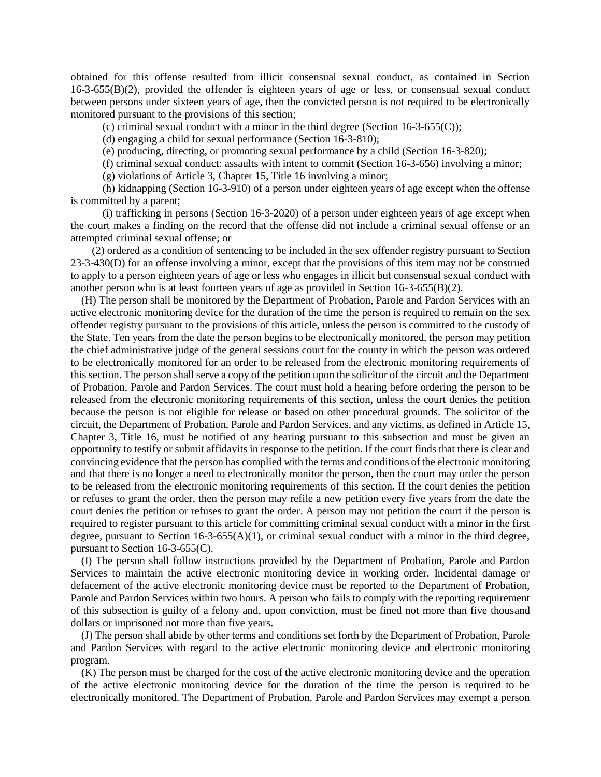obtained for this offense resulted from illicit consensual sexual conduct, as contained in Section 16-3-655(B)(2), provided the offender is eighteen years of age or less, or consensual sexual conduct between persons under sixteen years of age, then the convicted person is not required to be electronically monitored pursuant to the provisions of this section;

(c) criminal sexual conduct with a minor in the third degree (Section 16-3-655(C));

(d) engaging a child for sexual performance (Section 16-3-810);

(e) producing, directing, or promoting sexual performance by a child (Section 16-3-820);

(f) criminal sexual conduct: assaults with intent to commit (Section 16-3-656) involving a minor;

(g) violations of Article 3, Chapter 15, Title 16 involving a minor;

(h) kidnapping (Section 16-3-910) of a person under eighteen years of age except when the offense is committed by a parent;

(i) trafficking in persons (Section 16-3-2020) of a person under eighteen years of age except when the court makes a finding on the record that the offense did not include a criminal sexual offense or an attempted criminal sexual offense; or

(2) ordered as a condition of sentencing to be included in the sex offender registry pursuant to Section 23-3-430(D) for an offense involving a minor, except that the provisions of this item may not be construed to apply to a person eighteen years of age or less who engages in illicit but consensual sexual conduct with another person who is at least fourteen years of age as provided in Section 16-3-655(B)(2).

(H) The person shall be monitored by the Department of Probation, Parole and Pardon Services with an active electronic monitoring device for the duration of the time the person is required to remain on the sex offender registry pursuant to the provisions of this article, unless the person is committed to the custody of the State. Ten years from the date the person begins to be electronically monitored, the person may petition the chief administrative judge of the general sessions court for the county in which the person was ordered to be electronically monitored for an order to be released from the electronic monitoring requirements of this section. The person shall serve a copy of the petition upon the solicitor of the circuit and the Department of Probation, Parole and Pardon Services. The court must hold a hearing before ordering the person to be released from the electronic monitoring requirements of this section, unless the court denies the petition because the person is not eligible for release or based on other procedural grounds. The solicitor of the circuit, the Department of Probation, Parole and Pardon Services, and any victims, as defined in Article 15, Chapter 3, Title 16, must be notified of any hearing pursuant to this subsection and must be given an opportunity to testify or submit affidavits in response to the petition. If the court finds that there is clear and convincing evidence that the person has complied with the terms and conditions of the electronic monitoring and that there is no longer a need to electronically monitor the person, then the court may order the person to be released from the electronic monitoring requirements of this section. If the court denies the petition or refuses to grant the order, then the person may refile a new petition every five years from the date the court denies the petition or refuses to grant the order. A person may not petition the court if the person is required to register pursuant to this article for committing criminal sexual conduct with a minor in the first degree, pursuant to Section  $16-3-655(A)(1)$ , or criminal sexual conduct with a minor in the third degree, pursuant to Section 16-3-655(C).

(I) The person shall follow instructions provided by the Department of Probation, Parole and Pardon Services to maintain the active electronic monitoring device in working order. Incidental damage or defacement of the active electronic monitoring device must be reported to the Department of Probation, Parole and Pardon Services within two hours. A person who fails to comply with the reporting requirement of this subsection is guilty of a felony and, upon conviction, must be fined not more than five thousand dollars or imprisoned not more than five years.

(J) The person shall abide by other terms and conditions set forth by the Department of Probation, Parole and Pardon Services with regard to the active electronic monitoring device and electronic monitoring program.

(K) The person must be charged for the cost of the active electronic monitoring device and the operation of the active electronic monitoring device for the duration of the time the person is required to be electronically monitored. The Department of Probation, Parole and Pardon Services may exempt a person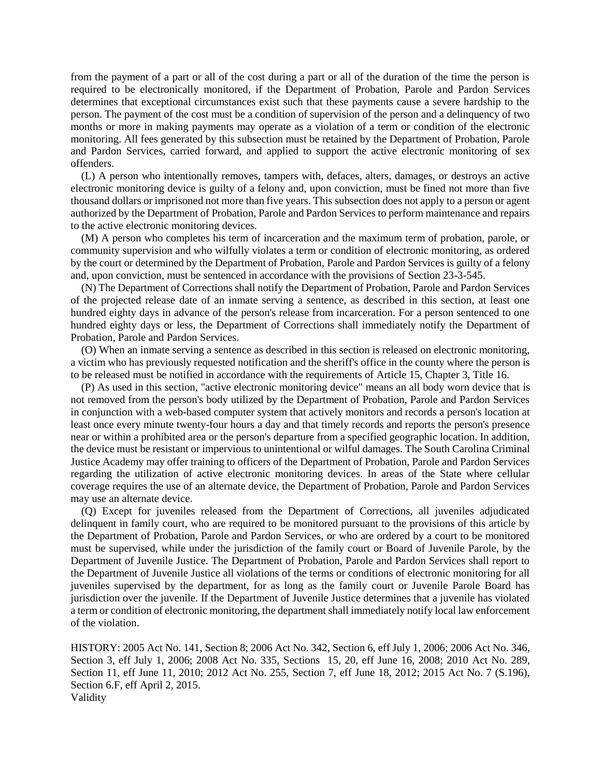from the payment of a part or all of the cost during a part or all of the duration of the time the person is required to be electronically monitored, if the Department of Probation, Parole and Pardon Services determines that exceptional circumstances exist such that these payments cause a severe hardship to the person. The payment of the cost must be a condition of supervision of the person and a delinquency of two months or more in making payments may operate as a violation of a term or condition of the electronic monitoring. All fees generated by this subsection must be retained by the Department of Probation, Parole and Pardon Services, carried forward, and applied to support the active electronic monitoring of sex offenders.

(L) A person who intentionally removes, tampers with, defaces, alters, damages, or destroys an active electronic monitoring device is guilty of a felony and, upon conviction, must be fined not more than five thousand dollars or imprisoned not more than five years. This subsection does not apply to a person or agent authorized by the Department of Probation, Parole and Pardon Services to perform maintenance and repairs to the active electronic monitoring devices.

(M) A person who completes his term of incarceration and the maximum term of probation, parole, or community supervision and who wilfully violates a term or condition of electronic monitoring, as ordered by the court or determined by the Department of Probation, Parole and Pardon Services is guilty of a felony and, upon conviction, must be sentenced in accordance with the provisions of Section 23-3-545.

(N) The Department of Corrections shall notify the Department of Probation, Parole and Pardon Services of the projected release date of an inmate serving a sentence, as described in this section, at least one hundred eighty days in advance of the person's release from incarceration. For a person sentenced to one hundred eighty days or less, the Department of Corrections shall immediately notify the Department of Probation, Parole and Pardon Services.

(O) When an inmate serving a sentence as described in this section is released on electronic monitoring, a victim who has previously requested notification and the sheriff's office in the county where the person is to be released must be notified in accordance with the requirements of Article 15, Chapter 3, Title 16.

(P) As used in this section, "active electronic monitoring device" means an all body worn device that is not removed from the person's body utilized by the Department of Probation, Parole and Pardon Services in conjunction with a web-based computer system that actively monitors and records a person's location at least once every minute twenty-four hours a day and that timely records and reports the person's presence near or within a prohibited area or the person's departure from a specified geographic location. In addition, the device must be resistant or impervious to unintentional or wilful damages. The South Carolina Criminal Justice Academy may offer training to officers of the Department of Probation, Parole and Pardon Services regarding the utilization of active electronic monitoring devices. In areas of the State where cellular coverage requires the use of an alternate device, the Department of Probation, Parole and Pardon Services may use an alternate device.

(Q) Except for juveniles released from the Department of Corrections, all juveniles adjudicated delinquent in family court, who are required to be monitored pursuant to the provisions of this article by the Department of Probation, Parole and Pardon Services, or who are ordered by a court to be monitored must be supervised, while under the jurisdiction of the family court or Board of Juvenile Parole, by the Department of Juvenile Justice. The Department of Probation, Parole and Pardon Services shall report to the Department of Juvenile Justice all violations of the terms or conditions of electronic monitoring for all juveniles supervised by the department, for as long as the family court or Juvenile Parole Board has jurisdiction over the juvenile. If the Department of Juvenile Justice determines that a juvenile has violated a term or condition of electronic monitoring, the department shall immediately notify local law enforcement of the violation.

HISTORY: 2005 Act No. 141, Section 8; 2006 Act No. 342, Section 6, eff July 1, 2006; 2006 Act No. 346, Section 3, eff July 1, 2006; 2008 Act No. 335, Sections 15, 20, eff June 16, 2008; 2010 Act No. 289, Section 11, eff June 11, 2010; 2012 Act No. 255, Section 7, eff June 18, 2012; 2015 Act No. 7 (S.196), Section 6.F, eff April 2, 2015. Validity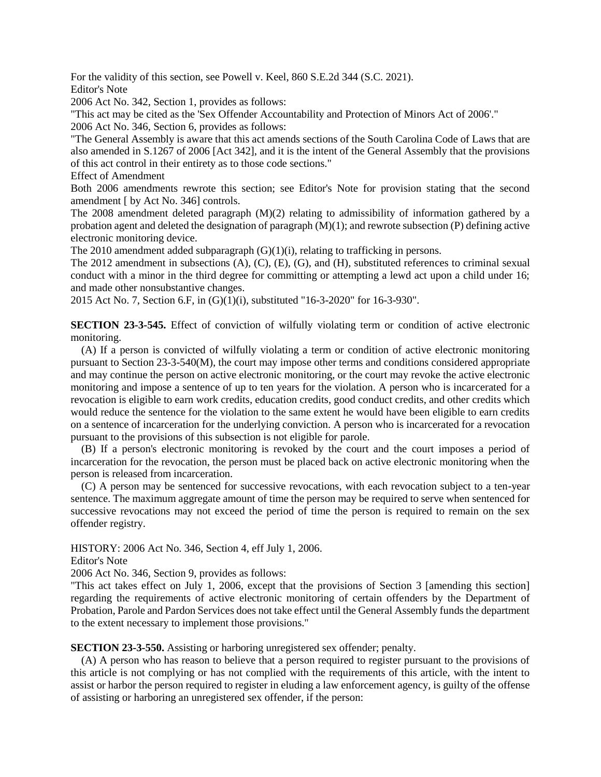For the validity of this section, see Powell v. Keel, 860 S.E.2d 344 (S.C. 2021).

Editor's Note

2006 Act No. 342, Section 1, provides as follows:

"This act may be cited as the 'Sex Offender Accountability and Protection of Minors Act of 2006'." 2006 Act No. 346, Section 6, provides as follows:

"The General Assembly is aware that this act amends sections of the South Carolina Code of Laws that are also amended in S.1267 of 2006 [Act 342], and it is the intent of the General Assembly that the provisions of this act control in their entirety as to those code sections."

Effect of Amendment

Both 2006 amendments rewrote this section; see Editor's Note for provision stating that the second amendment [ by Act No. 346] controls.

The 2008 amendment deleted paragraph  $(M)(2)$  relating to admissibility of information gathered by a probation agent and deleted the designation of paragraph (M)(1); and rewrote subsection (P) defining active electronic monitoring device.

The 2010 amendment added subparagraph (G)(1)(i), relating to trafficking in persons.

The 2012 amendment in subsections (A), (C), (E), (G), and (H), substituted references to criminal sexual conduct with a minor in the third degree for committing or attempting a lewd act upon a child under 16; and made other nonsubstantive changes.

2015 Act No. 7, Section 6.F, in (G)(1)(i), substituted "16-3-2020" for 16-3-930".

**SECTION 23-3-545.** Effect of conviction of wilfully violating term or condition of active electronic monitoring.

(A) If a person is convicted of wilfully violating a term or condition of active electronic monitoring pursuant to Section 23-3-540(M), the court may impose other terms and conditions considered appropriate and may continue the person on active electronic monitoring, or the court may revoke the active electronic monitoring and impose a sentence of up to ten years for the violation. A person who is incarcerated for a revocation is eligible to earn work credits, education credits, good conduct credits, and other credits which would reduce the sentence for the violation to the same extent he would have been eligible to earn credits on a sentence of incarceration for the underlying conviction. A person who is incarcerated for a revocation pursuant to the provisions of this subsection is not eligible for parole.

(B) If a person's electronic monitoring is revoked by the court and the court imposes a period of incarceration for the revocation, the person must be placed back on active electronic monitoring when the person is released from incarceration.

(C) A person may be sentenced for successive revocations, with each revocation subject to a ten-year sentence. The maximum aggregate amount of time the person may be required to serve when sentenced for successive revocations may not exceed the period of time the person is required to remain on the sex offender registry.

HISTORY: 2006 Act No. 346, Section 4, eff July 1, 2006.

Editor's Note

2006 Act No. 346, Section 9, provides as follows:

"This act takes effect on July 1, 2006, except that the provisions of Section 3 [amending this section] regarding the requirements of active electronic monitoring of certain offenders by the Department of Probation, Parole and Pardon Services does not take effect until the General Assembly funds the department to the extent necessary to implement those provisions."

**SECTION 23-3-550.** Assisting or harboring unregistered sex offender; penalty.

(A) A person who has reason to believe that a person required to register pursuant to the provisions of this article is not complying or has not complied with the requirements of this article, with the intent to assist or harbor the person required to register in eluding a law enforcement agency, is guilty of the offense of assisting or harboring an unregistered sex offender, if the person: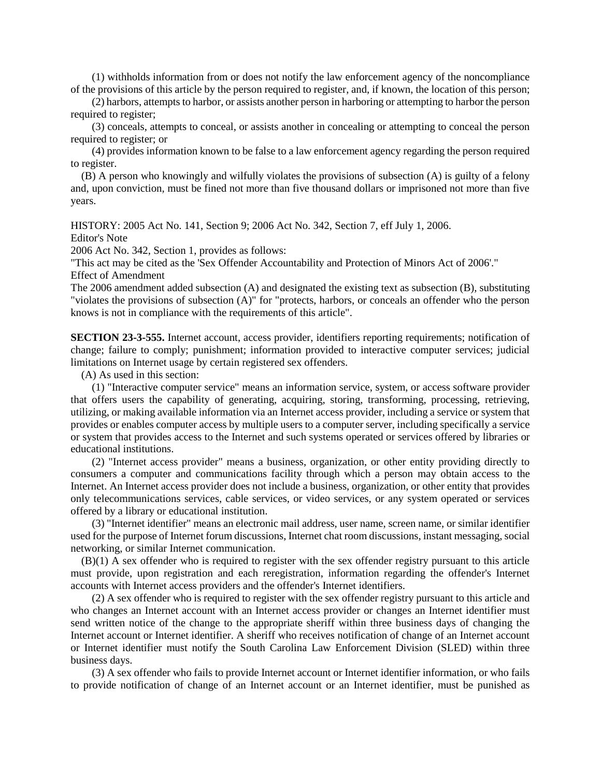(1) withholds information from or does not notify the law enforcement agency of the noncompliance of the provisions of this article by the person required to register, and, if known, the location of this person;

(2) harbors, attempts to harbor, or assists another person in harboring or attempting to harbor the person required to register;

(3) conceals, attempts to conceal, or assists another in concealing or attempting to conceal the person required to register; or

(4) provides information known to be false to a law enforcement agency regarding the person required to register.

(B) A person who knowingly and wilfully violates the provisions of subsection (A) is guilty of a felony and, upon conviction, must be fined not more than five thousand dollars or imprisoned not more than five years.

HISTORY: 2005 Act No. 141, Section 9; 2006 Act No. 342, Section 7, eff July 1, 2006.

Editor's Note

2006 Act No. 342, Section 1, provides as follows:

"This act may be cited as the 'Sex Offender Accountability and Protection of Minors Act of 2006'." Effect of Amendment

The 2006 amendment added subsection (A) and designated the existing text as subsection (B), substituting "violates the provisions of subsection (A)" for "protects, harbors, or conceals an offender who the person knows is not in compliance with the requirements of this article".

**SECTION 23-3-555.** Internet account, access provider, identifiers reporting requirements; notification of change; failure to comply; punishment; information provided to interactive computer services; judicial limitations on Internet usage by certain registered sex offenders.

(A) As used in this section:

(1) "Interactive computer service" means an information service, system, or access software provider that offers users the capability of generating, acquiring, storing, transforming, processing, retrieving, utilizing, or making available information via an Internet access provider, including a service or system that provides or enables computer access by multiple users to a computer server, including specifically a service or system that provides access to the Internet and such systems operated or services offered by libraries or educational institutions.

(2) "Internet access provider" means a business, organization, or other entity providing directly to consumers a computer and communications facility through which a person may obtain access to the Internet. An Internet access provider does not include a business, organization, or other entity that provides only telecommunications services, cable services, or video services, or any system operated or services offered by a library or educational institution.

(3) "Internet identifier" means an electronic mail address, user name, screen name, or similar identifier used for the purpose of Internet forum discussions, Internet chat room discussions, instant messaging, social networking, or similar Internet communication.

(B)(1) A sex offender who is required to register with the sex offender registry pursuant to this article must provide, upon registration and each reregistration, information regarding the offender's Internet accounts with Internet access providers and the offender's Internet identifiers.

(2) A sex offender who is required to register with the sex offender registry pursuant to this article and who changes an Internet account with an Internet access provider or changes an Internet identifier must send written notice of the change to the appropriate sheriff within three business days of changing the Internet account or Internet identifier. A sheriff who receives notification of change of an Internet account or Internet identifier must notify the South Carolina Law Enforcement Division (SLED) within three business days.

(3) A sex offender who fails to provide Internet account or Internet identifier information, or who fails to provide notification of change of an Internet account or an Internet identifier, must be punished as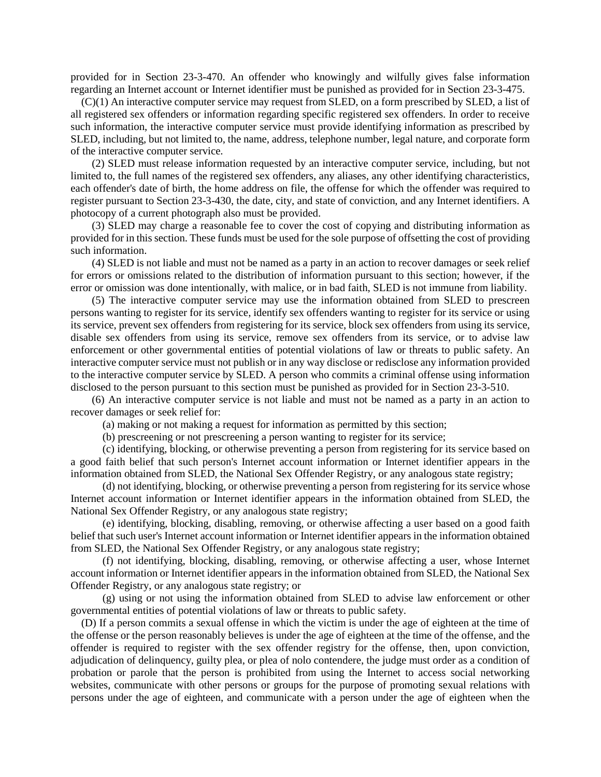provided for in Section 23-3-470. An offender who knowingly and wilfully gives false information regarding an Internet account or Internet identifier must be punished as provided for in Section 23-3-475.

(C)(1) An interactive computer service may request from SLED, on a form prescribed by SLED, a list of all registered sex offenders or information regarding specific registered sex offenders. In order to receive such information, the interactive computer service must provide identifying information as prescribed by SLED, including, but not limited to, the name, address, telephone number, legal nature, and corporate form of the interactive computer service.

(2) SLED must release information requested by an interactive computer service, including, but not limited to, the full names of the registered sex offenders, any aliases, any other identifying characteristics, each offender's date of birth, the home address on file, the offense for which the offender was required to register pursuant to Section 23-3-430, the date, city, and state of conviction, and any Internet identifiers. A photocopy of a current photograph also must be provided.

(3) SLED may charge a reasonable fee to cover the cost of copying and distributing information as provided for in this section. These funds must be used for the sole purpose of offsetting the cost of providing such information.

(4) SLED is not liable and must not be named as a party in an action to recover damages or seek relief for errors or omissions related to the distribution of information pursuant to this section; however, if the error or omission was done intentionally, with malice, or in bad faith, SLED is not immune from liability.

(5) The interactive computer service may use the information obtained from SLED to prescreen persons wanting to register for its service, identify sex offenders wanting to register for its service or using its service, prevent sex offenders from registering for its service, block sex offenders from using its service, disable sex offenders from using its service, remove sex offenders from its service, or to advise law enforcement or other governmental entities of potential violations of law or threats to public safety. An interactive computer service must not publish or in any way disclose or redisclose any information provided to the interactive computer service by SLED. A person who commits a criminal offense using information disclosed to the person pursuant to this section must be punished as provided for in Section 23-3-510.

(6) An interactive computer service is not liable and must not be named as a party in an action to recover damages or seek relief for:

(a) making or not making a request for information as permitted by this section;

(b) prescreening or not prescreening a person wanting to register for its service;

(c) identifying, blocking, or otherwise preventing a person from registering for its service based on a good faith belief that such person's Internet account information or Internet identifier appears in the information obtained from SLED, the National Sex Offender Registry, or any analogous state registry;

(d) not identifying, blocking, or otherwise preventing a person from registering for its service whose Internet account information or Internet identifier appears in the information obtained from SLED, the National Sex Offender Registry, or any analogous state registry;

(e) identifying, blocking, disabling, removing, or otherwise affecting a user based on a good faith belief that such user's Internet account information or Internet identifier appears in the information obtained from SLED, the National Sex Offender Registry, or any analogous state registry;

(f) not identifying, blocking, disabling, removing, or otherwise affecting a user, whose Internet account information or Internet identifier appears in the information obtained from SLED, the National Sex Offender Registry, or any analogous state registry; or

(g) using or not using the information obtained from SLED to advise law enforcement or other governmental entities of potential violations of law or threats to public safety.

(D) If a person commits a sexual offense in which the victim is under the age of eighteen at the time of the offense or the person reasonably believes is under the age of eighteen at the time of the offense, and the offender is required to register with the sex offender registry for the offense, then, upon conviction, adjudication of delinquency, guilty plea, or plea of nolo contendere, the judge must order as a condition of probation or parole that the person is prohibited from using the Internet to access social networking websites, communicate with other persons or groups for the purpose of promoting sexual relations with persons under the age of eighteen, and communicate with a person under the age of eighteen when the